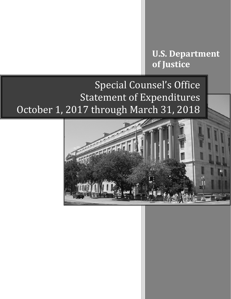**U.S. Department of Justice**

## Special Counsel's Office Statement of Expenditures October 1, 2017 through March 31, 2018

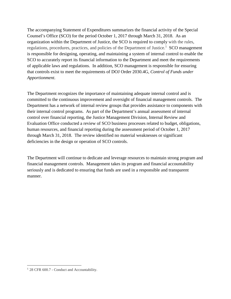The accompanying Statement of Expenditures summarizes the financial activity of the Special Counsel's Office (SCO) for the period October 1, 2017 through March 31, 2018. As an organization within the Department of Justice, the SCO is required to comply with the rules, regulations, procedures, practices, and policies of the Department of Justice.<sup>1</sup> SCO management is responsible for designing, operating, and maintaining a system of internal control to enable the SCO to accurately report its financial information to the Department and meet the requirements of applicable laws and regulations. In addition, SCO management is responsible for ensuring that controls exist to meet the requirements of DOJ Order 2030.4G, *Control of Funds under Apportionment*.

The Department recognizes the importance of maintaining adequate internal control and is committed to the continuous improvement and oversight of financial management controls. The Department has a network of internal review groups that provides assistance to components with their internal control programs. As part of the Department's annual assessment of internal control over financial reporting, the Justice Management Division, Internal Review and Evaluation Office conducted a review of SCO business processes related to budget, obligations, human resources, and financial reporting during the assessment period of October 1, 2017 through March 31, 2018. The review identified no material weaknesses or significant deficiencies in the design or operation of SCO controls.

The Department will continue to dedicate and leverage resources to maintain strong program and financial management controls. Management takes its program and financial accountability seriously and is dedicated to ensuring that funds are used in a responsible and transparent manner.

l

<sup>&</sup>lt;sup>1</sup> 28 CFR 600.7 - Conduct and Accountability.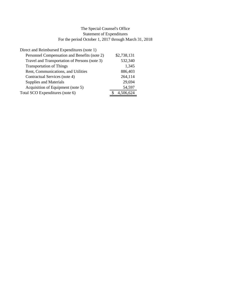## For the period October 1, 2017 through March 31, 2018 The Special Counsel's Office Statement of Expenditures

| Direct and Reimbursed Expenditures (note 1)   |             |
|-----------------------------------------------|-------------|
| Personnel Compensation and Benefits (note 2)  | \$2,738,131 |
| Travel and Transportation of Persons (note 3) | 532,340     |
| <b>Transportation of Things</b>               | 1,345       |
| Rent, Communications, and Utilities           | 886,403     |
| Contractual Services (note 4)                 | 264,114     |
| Supplies and Materials                        | 29,694      |
| Acquisition of Equipment (note 5)             | 54,597      |
| Total SCO Expenditures (note 6)               | 4,506,624   |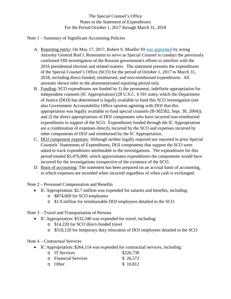The Special Counsel's Office Notes to the Statement of Expenditures For the Period October 1, 2017 through March 31, 2018

Note 1 – Summary of Significant Accounting Policies

- A. Reporting entity: On May 17, 2017, Robert S. Mueller III [was appointed](https://www.justice.gov/opa/pr/appointment-special-counsel) by acting Attorney General Rod J. Rosenstein to serve as Special Counsel to conduct the previously confirmed FBI investigation of the Russian government's efforts to interfere with the 2016 presidential election and related matters. The statement presents the expenditures of the Special Counsel's Office (SCO) for the period of October 1, 2017 to March 31, 2018, including direct-funded, reimbursed, and non-reimbursed expenditures. All amounts shown refer to the aforementioned reporting period only.
- B. Funding: SCO expenditures are funded by 1) the permanent, indefinite appropriation for independent counsels (IC Appropriation) (28 U.S.C. § 591 note), which the Department of Justice (DOJ) has determined is legally available to fund this SCO investigation (see also Government Accountability Office opinion agreeing with DOJ that this appropriation was legally available to fund special counsels (B-302582, Sept. 30, 2004)); and 2) the direct appropriations of DOJ components who have incurred non-reimbursed expenditures in support of the SCO. Expenditures funded through the IC Appropriation are a combination of expenses directly incurred by the SCO and expenses incurred by other components of DOJ and reimbursed by the IC Appropriation.
- C. DOJ component expenses: Although neither legally required nor reported in prior Special Counsels' Statements of Expenditures, DOJ components that support the SCO were asked to track expenditures attributable to the investigations. The expenditures for this period totaled \$5,476,000, which approximates expenditures the components would have incurred for the investigations irrespective of the existence of the SCO.
- D. Basis of accounting: The statement has been prepared on an accrual basis of accounting, in which expenses are recorded when incurred regardless of when cash is exchanged.

Note 2 – Personnel Compensation and Benefits

- IC Appropriation: \$2.7 million was expended for salaries and benefits, including:
	- o \$874,069 for SCO employees
	- o \$1.9 million for reimbursable DOJ employees detailed to the SCO

Note 3 – Travel and Transportation of Persons

- IC Appropriation: \$532,340 was expended for travel, including:
	- o \$14,220 for SCO direct-funded travel
	- o \$518,120 for temporary duty relocation of DOJ employees detailed to the SCO

Note 4 – Contractual Services

• IC Appropriation: \$264,114 was expended for contractual services, including:

| <b>O</b> IT Services       | \$226,730 |
|----------------------------|-----------|
| <b>Exercial Services C</b> | \$26,572  |
| 0 Other                    | \$10,812  |